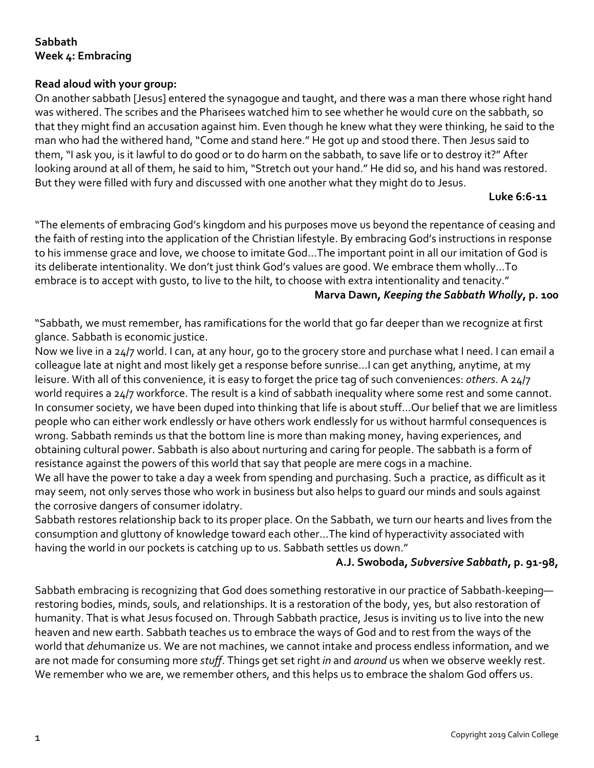## **Sabbath Week 4: Embracing**

### **Read aloud with your group:**

On another sabbath [Jesus] entered the synagogue and taught, and there was a man there whose right hand was withered. The scribes and the Pharisees watched him to see whether he would cure on the sabbath, so that they might find an accusation against him. Even though he knew what they were thinking, he said to the man who had the withered hand, "Come and stand here." He got up and stood there. Then Jesus said to them, "I ask you, is it lawful to do good or to do harm on the sabbath, to save life or to destroy it?" After looking around at all of them, he said to him, "Stretch out your hand." He did so, and his hand was restored. But they were filled with fury and discussed with one another what they might do to Jesus.

#### **Luke 6:6-11**

"The elements of embracing God's kingdom and his purposes move us beyond the repentance of ceasing and the faith of resting into the application of the Christian lifestyle. By embracing God's instructions in response to his immense grace and love, we choose to imitate God...The important point in all our imitation of God is its deliberate intentionality. We don't just think God's values are good. We embrace them wholly...To embrace is to accept with qusto, to live to the hilt, to choose with extra intentionality and tenacity."

#### **Marva Dawn,** *Keeping the Sabbath Wholly***, p. 100**

"Sabbath, we must remember, has ramifications for the world that go far deeper than we recognize at first glance. Sabbath is economic justice.

Now we live in a 24/7 world. I can, at any hour, go to the grocery store and purchase what I need. I can email a colleague late at night and most likely get a response before sunrise…I can get anything, anytime, at my leisure. With all of this convenience, it is easy to forget the price tag of such conveniences: *others*. A 24/7 world requires a 24/7 workforce. The result is a kind of sabbath inequality where some rest and some cannot. In consumer society, we have been duped into thinking that life is about stuff…Our belief that we are limitless people who can either work endlessly or have others work endlessly for us without harmful consequences is wrong. Sabbath reminds us that the bottom line is more than making money, having experiences, and obtaining cultural power. Sabbath is also about nurturing and caring for people. The sabbath is a form of resistance against the powers of this world that say that people are mere cogs in a machine. We all have the power to take a day a week from spending and purchasing. Such a practice, as difficult as it may seem, not only serves those who work in business but also helps to guard our minds and souls against

the corrosive dangers of consumer idolatry.

Sabbath restores relationship back to its proper place. On the Sabbath, we turn our hearts and lives from the consumption and gluttony of knowledge toward each other…The kind of hyperactivity associated with having the world in our pockets is catching up to us. Sabbath settles us down."

#### **A.J. Swoboda,** *Subversive Sabbath***, p. 91-98,**

Sabbath embracing is recognizing that God does something restorative in our practice of Sabbath-keeping restoring bodies, minds, souls, and relationships. It is a restoration of the body, yes, but also restoration of humanity. That is what Jesus focused on. Through Sabbath practice, Jesus is inviting us to live into the new heaven and new earth. Sabbath teaches us to embrace the ways of God and to rest from the ways of the world that *de*humanize us. We are not machines, we cannot intake and process endless information, and we are not made for consuming more *stuff*. Things get set right *in* and *around* us when we observe weekly rest. We remember who we are, we remember others, and this helps us to embrace the shalom God offers us.